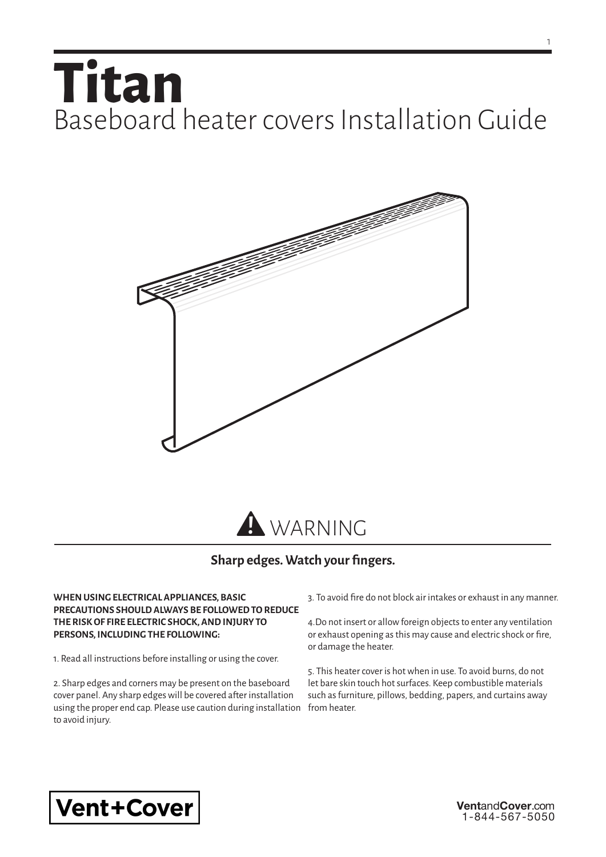## **Titan** Baseboard heater covers Installation Guide



## **Sharp edges. Watch your fingers.**

## **WHEN USING ELECTRICAL APPLIANCES, BASIC PRECAUTIONS SHOULD ALWAYS BE FOLLOWED TO REDUCE THE RISK OF FIRE ELECTRIC SHOCK, AND INJURY TO PERSONS, INCLUDING THE FOLLOWING:**

1. Read all instructions before installing or using the cover.

2. Sharp edges and corners may be present on the baseboard cover panel. Any sharp edges will be covered after installation using the proper end cap. Please use caution during installation to avoid injury.

3. To avoid fire do not block air intakes or exhaust in any manner.

4.Do not insert or allow foreign objects to enter any ventilation or exhaust opening as this may cause and electric shock or fire, or damage the heater.

5. This heater cover is hot when in use. To avoid burns, do not let bare skin touch hot surfaces. Keep combustible materials such as furniture, pillows, bedding, papers, and curtains away from heater.



**Vent**and**Cover**.com 1-844-567-5050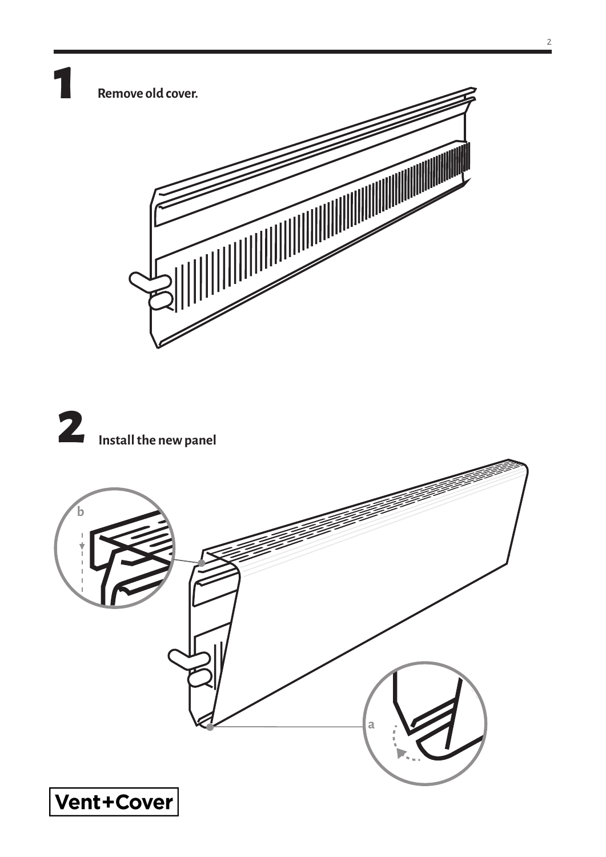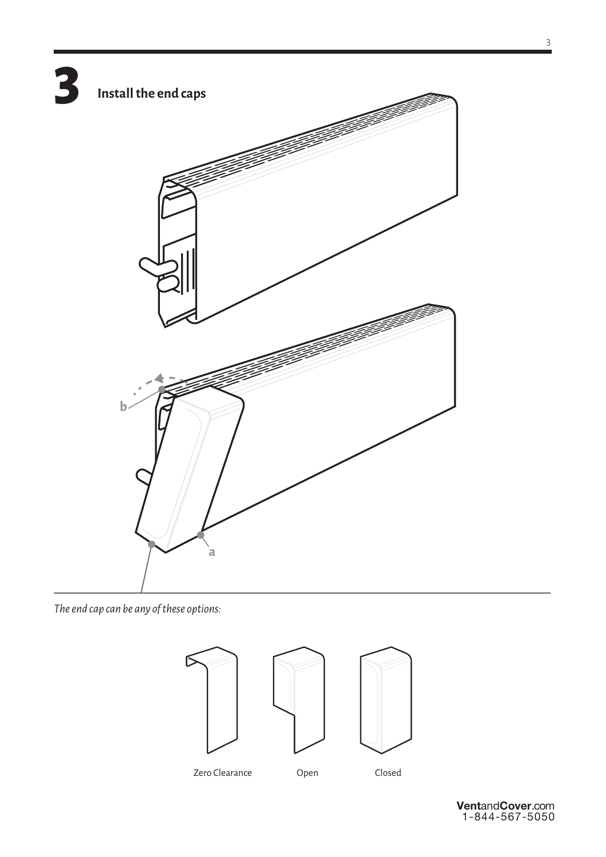

*The end cap can be any of these options:*

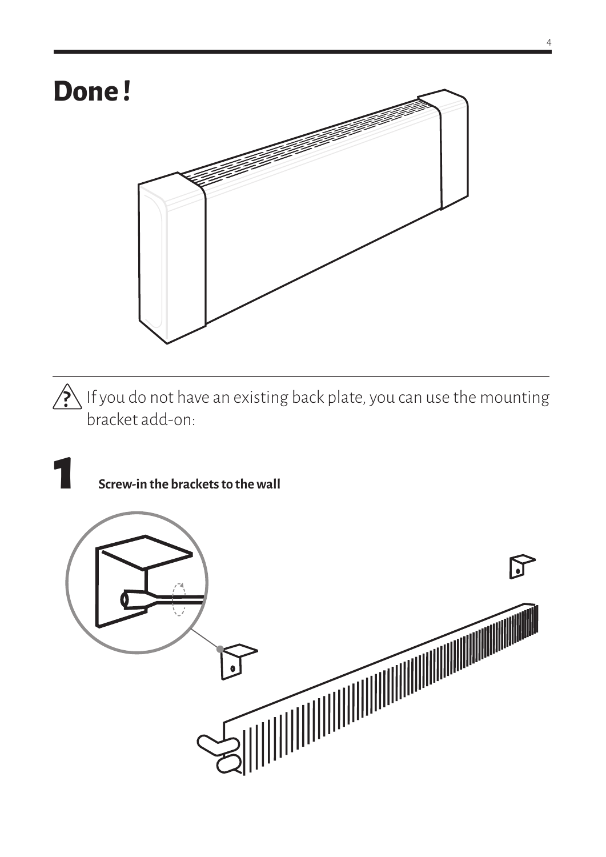

 $\sum_{i=1}^{\infty}$  If you do not have an existing back plate, you can use the mounting bracket add-on:

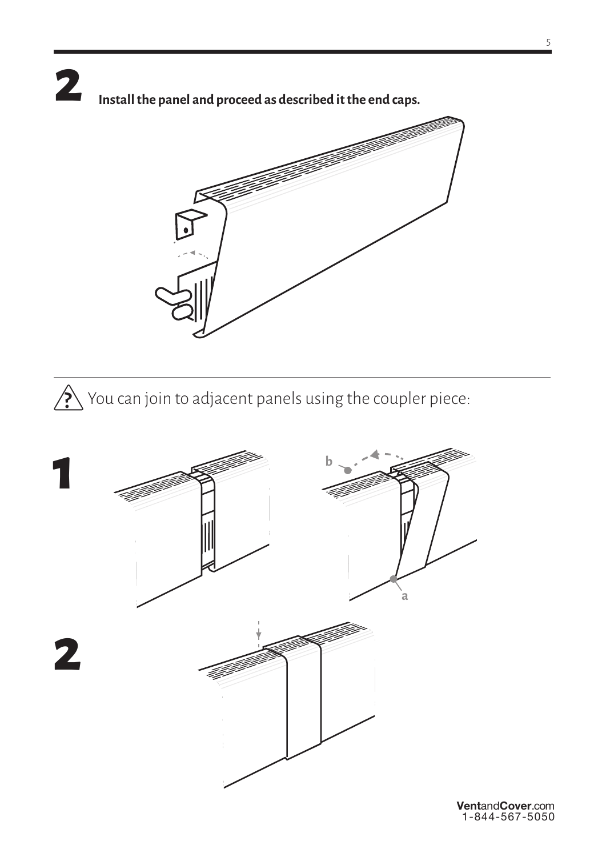## **2 Install the panel and proceed as described it the end caps.**



 $\bigotimes$  You can join to adjacent panels using the coupler piece: